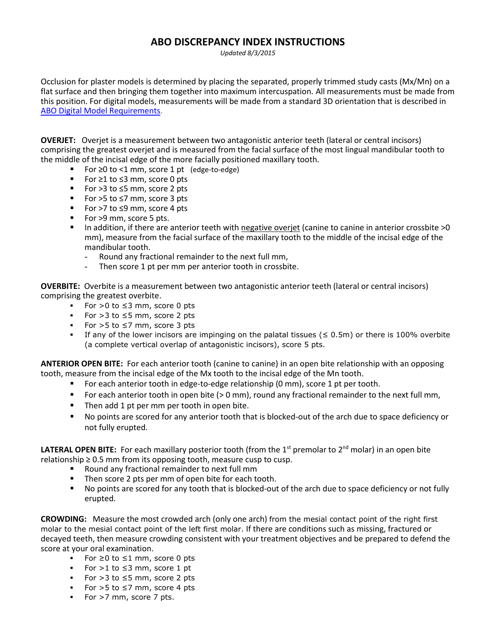## **ABO DISCREPANCY INDEX INSTRUCTIONS**

*Updated 8/3/2015*

Occlusion for plaster models is determined by placing the separated, properly trimmed study casts (Mx/Mn) on a flat surface and then bringing them together into maximum intercuspation. All measurements must be made from this position. For digital models, measurements will be made from a standard 3D orientation that is described in ABO Digital [Model Requirements.](https://www.americanboardortho.com/media/1157/abo-digital-model-requirements.pdf)

**OVERJET:** Overjet is a measurement between two antagonistic anterior teeth (lateral or central incisors) comprising the greatest overjet and is measured from the facial surface of the most lingual mandibular tooth to the middle of the incisal edge of the more facially positioned maxillary tooth.

- For ≥0 to <1 mm, score 1 pt (edge-to-edge)
- For ≥1 to ≤3 mm, score 0 pts
- For >3 to ≤5 mm, score 2 pts
- For >5 to ≤7 mm, score 3 pts
- For >7 to ≤9 mm, score 4 pts
- For >9 mm, score 5 pts.
- In addition, if there are anterior teeth with negative overjet (canine to canine in anterior crossbite >0 mm), measure from the facial surface of the maxillary tooth to the middle of the incisal edge of the mandibular tooth.
	- Round any fractional remainder to the next full mm,
	- Then score 1 pt per mm per anterior tooth in crossbite.

**OVERBITE:** Overbite is a measurement between two antagonistic anterior teeth (lateral or central incisors) comprising the greatest overbite.

- For >0 to ≤3 mm, score 0 pts
- For >3 to ≤5 mm, score 2 pts
- For >5 to ≤7 mm, score 3 pts
- If any of the lower incisors are impinging on the palatal tissues ( $\leq 0.5$ m) or there is 100% overbite (a complete vertical overlap of antagonistic incisors), score 5 pts.

**ANTERIOR OPEN BITE:** For each anterior tooth (canine to canine) in an open bite relationship with an opposing tooth, measure from the incisal edge of the Mx tooth to the incisal edge of the Mn tooth.

- For each anterior tooth in edge-to-edge relationship (0 mm), score 1 pt per tooth.
- For each anterior tooth in open bite (> 0 mm), round any fractional remainder to the next full mm,
- **Then add 1 pt per mm per tooth in open bite.**
- No points are scored for any anterior tooth that is blocked-out of the arch due to space deficiency or not fully erupted.

LATERAL OPEN BITE: For each maxillary posterior tooth (from the 1<sup>st</sup> premolar to 2<sup>nd</sup> molar) in an open bite relationship  $\geq 0.5$  mm from its opposing tooth, measure cusp to cusp.

- Round any fractional remainder to next full mm
- Then score 2 pts per mm of open bite for each tooth.
- No points are scored for any tooth that is blocked-out of the arch due to space deficiency or not fully erupted.

**CROWDING:** Measure the most crowded arch (only one arch) from the mesial contact point of the right first molar to the mesial contact point of the left first molar. If there are conditions such as missing, fractured or decayed teeth, then measure crowding consistent with your treatment objectives and be prepared to defend the score at your oral examination.

- For ≥0 to ≤1 mm, score 0 pts
- For  $>1$  to  $\leq$ 3 mm, score 1 pt
- For >3 to ≤5 mm, score 2 pts
- For >5 to ≤7 mm, score 4 pts
- For >7 mm, score 7 pts.